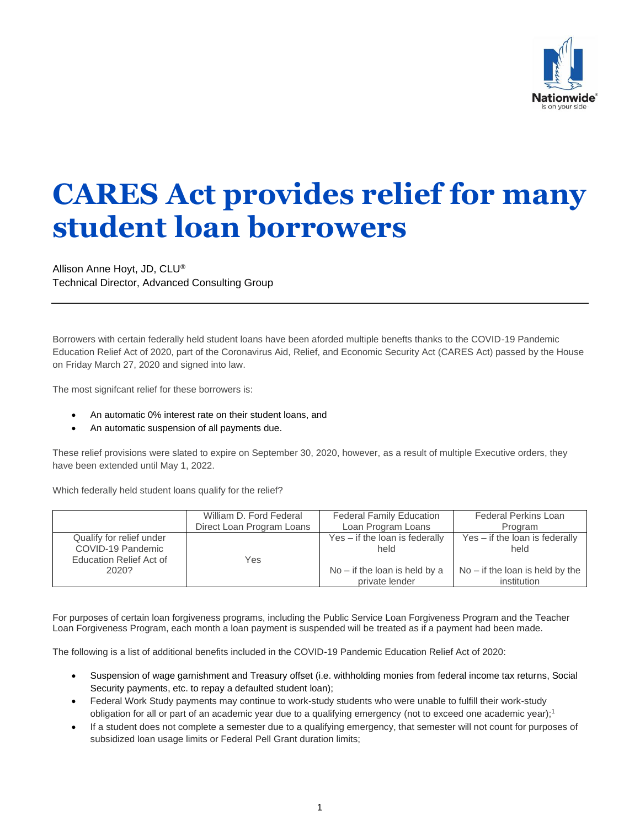

## **CARES Act provides relief for many student loan borrowers**

Allison Anne Hoyt, JD, CLU® Technical Director, Advanced Consulting Group

Borrowers with certain federally held student loans have been aforded multiple benefts thanks to the COVID-19 Pandemic Education Relief Act of 2020, part of the Coronavirus Aid, Relief, and Economic Security Act (CARES Act) passed by the House on Friday March 27, 2020 and signed into law.

The most signifcant relief for these borrowers is:

- An automatic 0% interest rate on their student loans, and
- An automatic suspension of all payments due.

These relief provisions were slated to expire on September 30, 2020, however, as a result of multiple Executive orders, they have been extended until May 1, 2022.

Which federally held student loans qualify for the relief?

|                                                                          | William D. Ford Federal   | <b>Federal Family Education</b>                   | <b>Federal Perkins Loan</b>                      |
|--------------------------------------------------------------------------|---------------------------|---------------------------------------------------|--------------------------------------------------|
|                                                                          | Direct Loan Program Loans | Loan Program Loans                                | Program                                          |
| Qualify for relief under<br>COVID-19 Pandemic<br>Education Relief Act of | Yes                       | Yes - if the loan is federally<br>held            | $Yes - if the loan is federally$<br>held         |
| 2020?                                                                    |                           | $No - if the loan is held by a$<br>private lender | $No - if the loan is held by the$<br>institution |

For purposes of certain loan forgiveness programs, including the Public Service Loan Forgiveness Program and the Teacher Loan Forgiveness Program, each month a loan payment is suspended will be treated as if a payment had been made.

The following is a list of additional benefits included in the COVID-19 Pandemic Education Relief Act of 2020:

- Suspension of wage garnishment and Treasury offset (i.e. withholding monies from federal income tax returns, Social Security payments, etc. to repay a defaulted student loan);
- Federal Work Study payments may continue to work-study students who were unable to fulfill their work-study obligation for all or part of an academic year due to a qualifying emergency (not to exceed one academic year);<sup>1</sup>
- If a student does not complete a semester due to a qualifying emergency, that semester will not count for purposes of subsidized loan usage limits or Federal Pell Grant duration limits;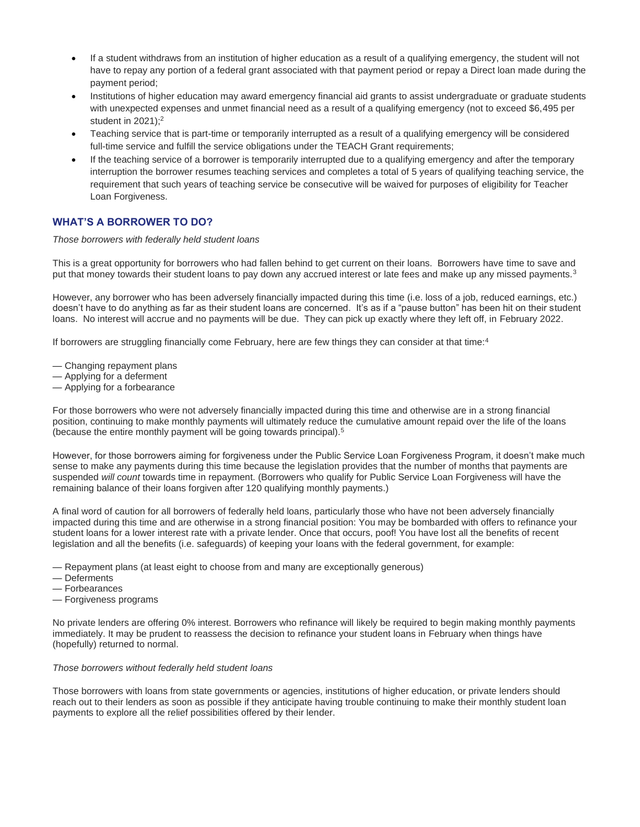- If a student withdraws from an institution of higher education as a result of a qualifying emergency, the student will not have to repay any portion of a federal grant associated with that payment period or repay a Direct loan made during the payment period;
- Institutions of higher education may award emergency financial aid grants to assist undergraduate or graduate students with unexpected expenses and unmet financial need as a result of a qualifying emergency (not to exceed \$6,495 per student in  $2021$ );<sup>2</sup>
- Teaching service that is part-time or temporarily interrupted as a result of a qualifying emergency will be considered full-time service and fulfill the service obligations under the TEACH Grant requirements;
- If the teaching service of a borrower is temporarily interrupted due to a qualifying emergency and after the temporary interruption the borrower resumes teaching services and completes a total of 5 years of qualifying teaching service, the requirement that such years of teaching service be consecutive will be waived for purposes of eligibility for Teacher Loan Forgiveness.

## **WHAT'S A BORROWER TO DO?**

*Those borrowers with federally held student loans*

This is a great opportunity for borrowers who had fallen behind to get current on their loans. Borrowers have time to save and put that money towards their student loans to pay down any accrued interest or late fees and make up any missed payments.<sup>3</sup>

However, any borrower who has been adversely financially impacted during this time (i.e. loss of a job, reduced earnings, etc.) doesn't have to do anything as far as their student loans are concerned. It's as if a "pause button" has been hit on their student loans. No interest will accrue and no payments will be due. They can pick up exactly where they left off, in February 2022.

If borrowers are struggling financially come February, here are few things they can consider at that time:<sup>4</sup>

- Changing repayment plans
- Applying for a deferment
- Applying for a forbearance

For those borrowers who were not adversely financially impacted during this time and otherwise are in a strong financial position, continuing to make monthly payments will ultimately reduce the cumulative amount repaid over the life of the loans (because the entire monthly payment will be going towards principal).<sup>5</sup>

However, for those borrowers aiming for forgiveness under the Public Service Loan Forgiveness Program, it doesn't make much sense to make any payments during this time because the legislation provides that the number of months that payments are suspended *will count* towards time in repayment. (Borrowers who qualify for Public Service Loan Forgiveness will have the remaining balance of their loans forgiven after 120 qualifying monthly payments.)

A final word of caution for all borrowers of federally held loans, particularly those who have not been adversely financially impacted during this time and are otherwise in a strong financial position: You may be bombarded with offers to refinance your student loans for a lower interest rate with a private lender. Once that occurs, poof! You have lost all the benefits of recent legislation and all the benefits (i.e. safeguards) of keeping your loans with the federal government, for example:

- Repayment plans (at least eight to choose from and many are exceptionally generous)
- Deferments
- Forbearances
- Forgiveness programs

No private lenders are offering 0% interest. Borrowers who refinance will likely be required to begin making monthly payments immediately. It may be prudent to reassess the decision to refinance your student loans in February when things have (hopefully) returned to normal.

## *Those borrowers without federally held student loans*

Those borrowers with loans from state governments or agencies, institutions of higher education, or private lenders should reach out to their lenders as soon as possible if they anticipate having trouble continuing to make their monthly student loan payments to explore all the relief possibilities offered by their lender.